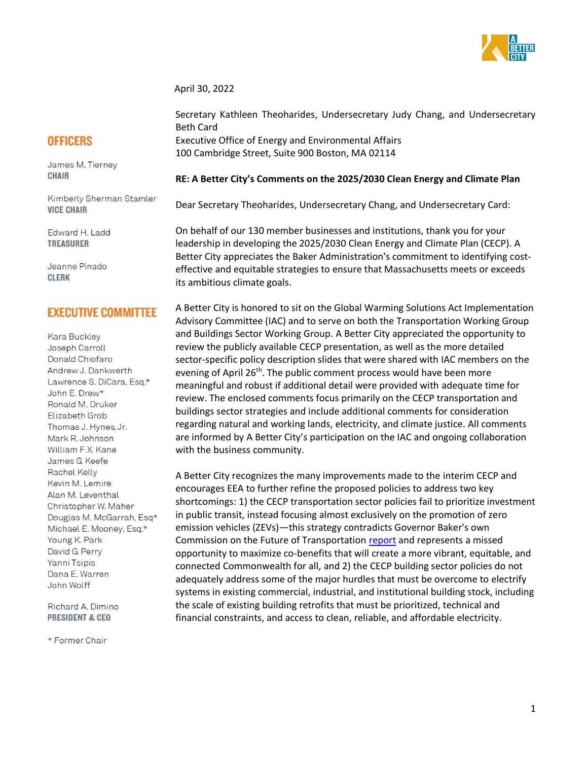

April 30, 2022

# **OFFICERS**

James M. Tierney **CHAIR** 

Kimberly Sherman Stamler **VICE CHAIR** 

Edward H. Ladd **TREASURER** 

Jeanne Pinado **CLERK** 

# **EXECUTIVE COMMITTEE**

Kara Buckley Joseph Carroll Donald Chiofaro Andrew J. Dankwerth Lawrence S. DiCara, Esq.\* John E. Drew\* Ronald M. Druker Elizabeth Grob Thomas J. Hynes, Jr. Mark R. Johnson William F.X. Kane James G Keefe Rachel Kelly Kevin M. Lemire Alan M. Leventhal Christopher W. Maher Douglas M. McGarrah, Esq\* Michael E. Mooney, Esq.\* Young K. Park David G Perry Yanni Tsipis Dana E. Warren John Wolff

Richard A. Dimino **PRESIDENT & CEO** 

\* Former Chair

Secretary Kathleen Theoharides, Undersecretary Judy Chang, and Undersecretary Beth Card Executive Office of Energy and Environmental Affairs 100 Cambridge Street, Suite 900 Boston, MA 02114

# **RE: A Better City's Comments on the 2025/2030 Clean Energy and Climate Plan**

Dear Secretary Theoharides, Undersecretary Chang, and Undersecretary Card:

On behalf of our 130 member businesses and institutions, thank you for your leadership in developing the 2025/2030 Clean Energy and Climate Plan (CECP). A Better City appreciates the Baker Administration's commitment to identifying costeffective and equitable strategies to ensure that Massachusetts meets or exceeds its ambitious climate goals.

A Better City is honored to sit on the Global Warming Solutions Act Implementation Advisory Committee (IAC) and to serve on both the Transportation Working Group and Buildings Sector Working Group. A Better City appreciated the opportunity to review the publicly available CECP presentation, as well as the more detailed sector-specific policy description slides that were shared with IAC members on the evening of April 26<sup>th</sup>. The public comment process would have been more meaningful and robust if additional detail were provided with adequate time for review. The enclosed comments focus primarily on the CECP transportation and buildings sector strategies and include additional comments for consideration regarding natural and working lands, electricity, and climate justice. All comments are informed by A Better City's participation on the IAC and ongoing collaboration with the business community.

A Better City recognizes the many improvements made to the interim CECP and encourages EEA to further refine the proposed policies to address two key shortcomings: 1) the CECP transportation sector policies fail to prioritize investment in public transit, instead focusing almost exclusively on the promotion of zero emission vehicles (ZEVs)—this strategy contradicts Governor Baker's own Commission on the Future of Transportation [report](https://www.mass.gov/lists/choices-for-stewardship-recommendations-to-meet-the-transportation-future) and represents a missed opportunity to maximize co-benefits that will create a more vibrant, equitable, and connected Commonwealth for all, and 2) the CECP building sector policies do not adequately address some of the major hurdles that must be overcome to electrify systems in existing commercial, industrial, and institutional building stock, including the scale of existing building retrofits that must be prioritized, technical and financial constraints, and access to clean, reliable, and affordable electricity.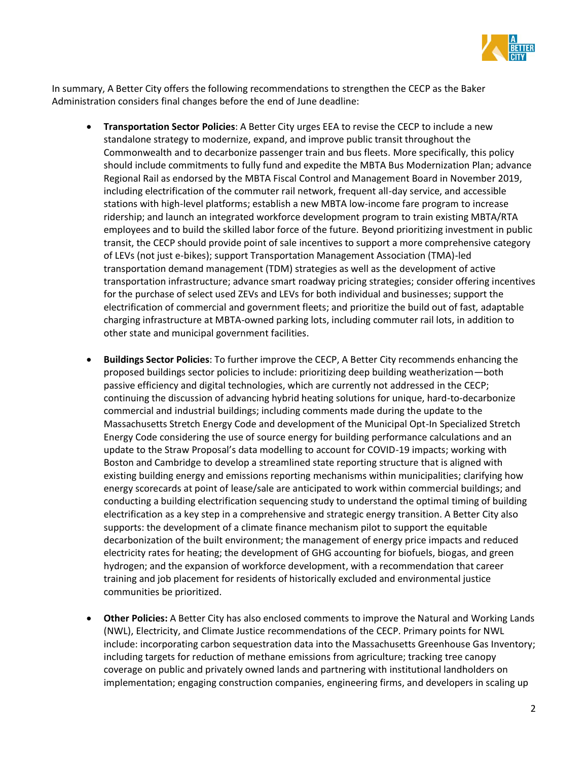

In summary, A Better City offers the following recommendations to strengthen the CECP as the Baker Administration considers final changes before the end of June deadline:

- **Transportation Sector Policies**: A Better City urges EEA to revise the CECP to include a new standalone strategy to modernize, expand, and improve public transit throughout the Commonwealth and to decarbonize passenger train and bus fleets. More specifically, this policy should include commitments to fully fund and expedite the MBTA Bus Modernization Plan; advance Regional Rail as endorsed by the MBTA Fiscal Control and Management Board in November 2019, including electrification of the commuter rail network, frequent all-day service, and accessible stations with high-level platforms; establish a new MBTA low-income fare program to increase ridership; and launch an integrated workforce development program to train existing MBTA/RTA employees and to build the skilled labor force of the future. Beyond prioritizing investment in public transit, the CECP should provide point of sale incentives to support a more comprehensive category of LEVs (not just e-bikes); support Transportation Management Association (TMA)-led transportation demand management (TDM) strategies as well as the development of active transportation infrastructure; advance smart roadway pricing strategies; consider offering incentives for the purchase of select used ZEVs and LEVs for both individual and businesses; support the electrification of commercial and government fleets; and prioritize the build out of fast, adaptable charging infrastructure at MBTA-owned parking lots, including commuter rail lots, in addition to other state and municipal government facilities.
- **Buildings Sector Policies**: To further improve the CECP, A Better City recommends enhancing the proposed buildings sector policies to include: prioritizing deep building weatherization—both passive efficiency and digital technologies, which are currently not addressed in the CECP; continuing the discussion of advancing hybrid heating solutions for unique, hard-to-decarbonize commercial and industrial buildings; including comments made during the update to the Massachusetts Stretch Energy Code and development of the Municipal Opt-In Specialized Stretch Energy Code considering the use of source energy for building performance calculations and an update to the Straw Proposal's data modelling to account for COVID-19 impacts; working with Boston and Cambridge to develop a streamlined state reporting structure that is aligned with existing building energy and emissions reporting mechanisms within municipalities; clarifying how energy scorecards at point of lease/sale are anticipated to work within commercial buildings; and conducting a building electrification sequencing study to understand the optimal timing of building electrification as a key step in a comprehensive and strategic energy transition. A Better City also supports: the development of a climate finance mechanism pilot to support the equitable decarbonization of the built environment; the management of energy price impacts and reduced electricity rates for heating; the development of GHG accounting for biofuels, biogas, and green hydrogen; and the expansion of workforce development, with a recommendation that career training and job placement for residents of historically excluded and environmental justice communities be prioritized.
- **Other Policies:** A Better City has also enclosed comments to improve the Natural and Working Lands (NWL), Electricity, and Climate Justice recommendations of the CECP. Primary points for NWL include: incorporating carbon sequestration data into the Massachusetts Greenhouse Gas Inventory; including targets for reduction of methane emissions from agriculture; tracking tree canopy coverage on public and privately owned lands and partnering with institutional landholders on implementation; engaging construction companies, engineering firms, and developers in scaling up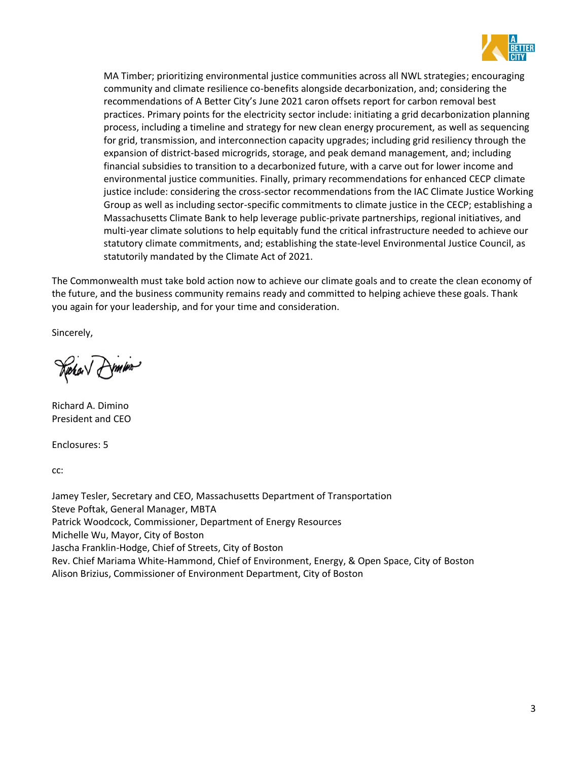

MA Timber; prioritizing environmental justice communities across all NWL strategies; encouraging community and climate resilience co-benefits alongside decarbonization, and; considering the recommendations of A Better City's June 2021 caron offsets report for carbon removal best practices. Primary points for the electricity sector include: initiating a grid decarbonization planning process, including a timeline and strategy for new clean energy procurement, as well as sequencing for grid, transmission, and interconnection capacity upgrades; including grid resiliency through the expansion of district-based microgrids, storage, and peak demand management, and; including financial subsidies to transition to a decarbonized future, with a carve out for lower income and environmental justice communities. Finally, primary recommendations for enhanced CECP climate justice include: considering the cross-sector recommendations from the IAC Climate Justice Working Group as well as including sector-specific commitments to climate justice in the CECP; establishing a Massachusetts Climate Bank to help leverage public-private partnerships, regional initiatives, and multi-year climate solutions to help equitably fund the critical infrastructure needed to achieve our statutory climate commitments, and; establishing the state-level Environmental Justice Council, as statutorily mandated by the Climate Act of 2021.

The Commonwealth must take bold action now to achieve our climate goals and to create the clean economy of the future, and the business community remains ready and committed to helping achieve these goals. Thank you again for your leadership, and for your time and consideration.

Sincerely,

Rechar Ammino

Richard A. Dimino President and CEO

Enclosures: 5

cc:

Jamey Tesler, Secretary and CEO, Massachusetts Department of Transportation Steve Poftak, General Manager, MBTA Patrick Woodcock, Commissioner, Department of Energy Resources Michelle Wu, Mayor, City of Boston Jascha Franklin-Hodge, Chief of Streets, City of Boston Rev. Chief Mariama White-Hammond, Chief of Environment, Energy, & Open Space, City of Boston Alison Brizius, Commissioner of Environment Department, City of Boston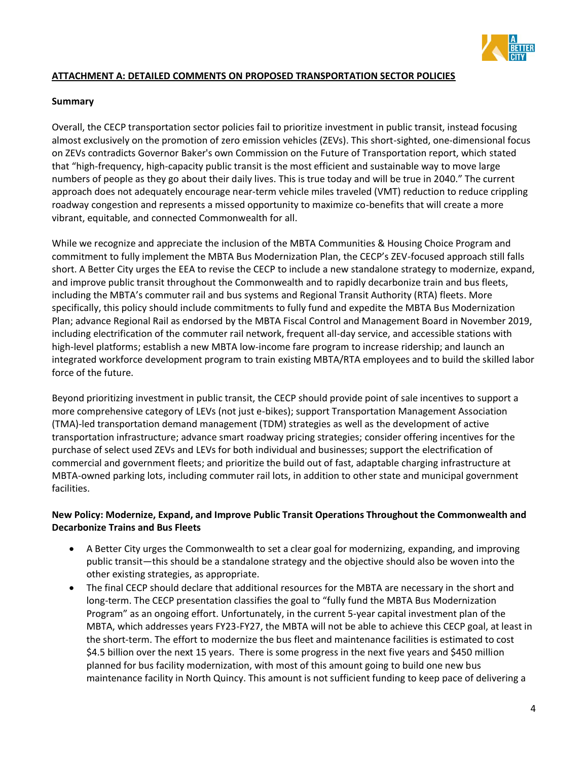

# **ATTACHMENT A: DETAILED COMMENTS ON PROPOSED TRANSPORTATION SECTOR POLICIES**

### **Summary**

Overall, the CECP transportation sector policies fail to prioritize investment in public transit, instead focusing almost exclusively on the promotion of zero emission vehicles (ZEVs). This short-sighted, one-dimensional focus on ZEVs contradicts Governor Baker's own Commission on the Future of Transportation report, which stated that "high-frequency, high-capacity public transit is the most efficient and sustainable way to move large numbers of people as they go about their daily lives. This is true today and will be true in 2040." The current approach does not adequately encourage near-term vehicle miles traveled (VMT) reduction to reduce crippling roadway congestion and represents a missed opportunity to maximize co-benefits that will create a more vibrant, equitable, and connected Commonwealth for all.

While we recognize and appreciate the inclusion of the MBTA Communities & Housing Choice Program and commitment to fully implement the MBTA Bus Modernization Plan, the CECP's ZEV-focused approach still falls short. A Better City urges the EEA to revise the CECP to include a new standalone strategy to modernize, expand, and improve public transit throughout the Commonwealth and to rapidly decarbonize train and bus fleets, including the MBTA's commuter rail and bus systems and Regional Transit Authority (RTA) fleets. More specifically, this policy should include commitments to fully fund and expedite the MBTA Bus Modernization Plan; advance Regional Rail as endorsed by the MBTA Fiscal Control and Management Board in November 2019, including electrification of the commuter rail network, frequent all-day service, and accessible stations with high-level platforms; establish a new MBTA low-income fare program to increase ridership; and launch an integrated workforce development program to train existing MBTA/RTA employees and to build the skilled labor force of the future.

Beyond prioritizing investment in public transit, the CECP should provide point of sale incentives to support a more comprehensive category of LEVs (not just e-bikes); support Transportation Management Association (TMA)-led transportation demand management (TDM) strategies as well as the development of active transportation infrastructure; advance smart roadway pricing strategies; consider offering incentives for the purchase of select used ZEVs and LEVs for both individual and businesses; support the electrification of commercial and government fleets; and prioritize the build out of fast, adaptable charging infrastructure at MBTA-owned parking lots, including commuter rail lots, in addition to other state and municipal government facilities.

# **New Policy: Modernize, Expand, and Improve Public Transit Operations Throughout the Commonwealth and Decarbonize Trains and Bus Fleets**

- A Better City urges the Commonwealth to set a clear goal for modernizing, expanding, and improving public transit—this should be a standalone strategy and the objective should also be woven into the other existing strategies, as appropriate.
- The final CECP should declare that additional resources for the MBTA are necessary in the short and long-term. The CECP presentation classifies the goal to "fully fund the MBTA Bus Modernization Program" as an ongoing effort. Unfortunately, in the current 5-year capital investment plan of the MBTA, which addresses years FY23-FY27, the MBTA will not be able to achieve this CECP goal, at least in the short-term. The effort to modernize the bus fleet and maintenance facilities is estimated to cost \$4.5 billion over the next 15 years. There is some progress in the next five years and \$450 million planned for bus facility modernization, with most of this amount going to build one new bus maintenance facility in North Quincy. This amount is not sufficient funding to keep pace of delivering a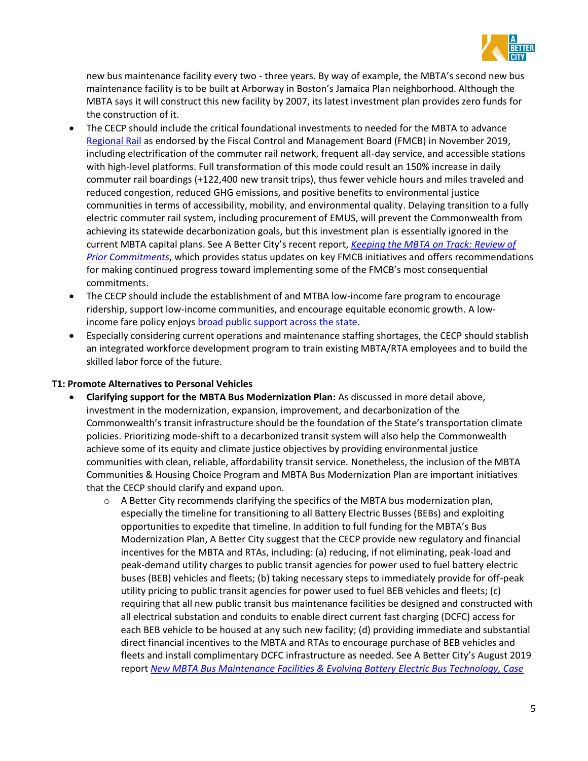

new bus maintenance facility every two - three years. By way of example, the MBTA's second new bus maintenance facility is to be built at Arborway in Boston's Jamaica Plan neighborhood. Although the MBTA says it will construct this new facility by 2007, its latest investment plan provides zero funds for the construction of it.

- The CECP should include the critical foundational investments to needed for the MBTA to advance [Regional Rail](https://cdn.mbta.com/sites/default/files/2019-10/2019-10-18-rail-vision-advisory-committee-meeting-presetnation-accessible.pdf) as endorsed by the Fiscal Control and Management Board (FMCB) in November 2019, including electrification of the commuter rail network, frequent all-day service, and accessible stations with high-level platforms. Full transformation of this mode could result an 150% increase in daily commuter rail boardings (+122,400 new transit trips), thus fewer vehicle hours and miles traveled and reduced congestion, reduced GHG emissions, and positive benefits to environmental justice communities in terms of accessibility, mobility, and environmental quality. Delaying transition to a fully electric commuter rail system, including procurement of EMUS, will prevent the Commonwealth from achieving its statewide decarbonization goals, but this investment plan is essentially ignored in the current MBTA capital plans. See A Better City's recent report, *[Keeping the MBTA on Track: Review of](https://nam10.safelinks.protection.outlook.com/?url=https%3A%2F%2Fwww.massincpolling.com%2Fthe-topline%2Fpoll-massachusetts-voters-support-new-transportation-investment-taxing-million-dollar-earners&data=05%7C01%7Ckdineen%40abettercity.org%7Ce6fc0874577540a802bb08da26a63adf%7Cdcca40908abf49669bd98fc41101bf19%7C0%7C0%7C637864793032829578%7CUnknown%7CTWFpbGZsb3d8eyJWIjoiMC4wLjAwMDAiLCJQIjoiV2luMzIiLCJBTiI6Ik1haWwiLCJXVCI6Mn0%3D%7C3000%7C%7C%7C&sdata=pcG%2Fbsw0pqlikcYwNMMG9hiEMP0P8RTHDHgj4YFKaR8%3D&reserved=0)  [Prior Commitments](https://nam10.safelinks.protection.outlook.com/?url=https%3A%2F%2Fwww.massincpolling.com%2Fthe-topline%2Fpoll-massachusetts-voters-support-new-transportation-investment-taxing-million-dollar-earners&data=05%7C01%7Ckdineen%40abettercity.org%7Ce6fc0874577540a802bb08da26a63adf%7Cdcca40908abf49669bd98fc41101bf19%7C0%7C0%7C637864793032829578%7CUnknown%7CTWFpbGZsb3d8eyJWIjoiMC4wLjAwMDAiLCJQIjoiV2luMzIiLCJBTiI6Ik1haWwiLCJXVCI6Mn0%3D%7C3000%7C%7C%7C&sdata=pcG%2Fbsw0pqlikcYwNMMG9hiEMP0P8RTHDHgj4YFKaR8%3D&reserved=0)*, which provides status updates on key FMCB initiatives and offers recommendations for making continued progress toward implementing some of the FMCB's most consequential commitments.
- The CECP should include the establishment of and MTBA low-income fare program to encourage ridership, support low-income communities, and encourage equitable economic growth. A lowincome fare policy enjoys [broad public support across the state.](https://nam10.safelinks.protection.outlook.com/?url=https%3A%2F%2Fwww.massincpolling.com%2Fthe-topline%2Fpoll-massachusetts-voters-support-new-transportation-investment-taxing-million-dollar-earners&data=05%7C01%7Ckdineen%40abettercity.org%7Ce6fc0874577540a802bb08da26a63adf%7Cdcca40908abf49669bd98fc41101bf19%7C0%7C0%7C637864793032829578%7CUnknown%7CTWFpbGZsb3d8eyJWIjoiMC4wLjAwMDAiLCJQIjoiV2luMzIiLCJBTiI6Ik1haWwiLCJXVCI6Mn0%3D%7C3000%7C%7C%7C&sdata=pcG%2Fbsw0pqlikcYwNMMG9hiEMP0P8RTHDHgj4YFKaR8%3D&reserved=0)
- Especially considering current operations and maintenance staffing shortages, the CECP should stablish an integrated workforce development program to train existing MBTA/RTA employees and to build the skilled labor force of the future.

# **T1: Promote Alternatives to Personal Vehicles**

- **Clarifying support for the MBTA Bus Modernization Plan:** As discussed in more detail above, investment in the modernization, expansion, improvement, and decarbonization of the Commonwealth's transit infrastructure should be the foundation of the State's transportation climate policies. Prioritizing mode-shift to a decarbonized transit system will also help the Commonwealth achieve some of its equity and climate justice objectives by providing environmental justice communities with clean, reliable, affordability transit service. Nonetheless, the inclusion of the MBTA Communities & Housing Choice Program and MBTA Bus Modernization Plan are important initiatives that the CECP should clarify and expand upon.
	- $\circ$  A Better City recommends clarifying the specifics of the MBTA bus modernization plan, especially the timeline for transitioning to all Battery Electric Busses (BEBs) and exploiting opportunities to expedite that timeline. In addition to full funding for the MBTA's Bus Modernization Plan, A Better City suggest that the CECP provide new regulatory and financial incentives for the MBTA and RTAs, including: (a) reducing, if not eliminating, peak-load and peak-demand utility charges to public transit agencies for power used to fuel battery electric buses (BEB) vehicles and fleets; (b) taking necessary steps to immediately provide for off-peak utility pricing to public transit agencies for power used to fuel BEB vehicles and fleets; (c) requiring that all new public transit bus maintenance facilities be designed and constructed with all electrical substation and conduits to enable direct current fast charging (DCFC) access for each BEB vehicle to be housed at any such new facility; (d) providing immediate and substantial direct financial incentives to the MBTA and RTAs to encourage purchase of BEB vehicles and fleets and install complimentary DCFC infrastructure as needed. See A Better City's August 2019 report *[New MBTA Bus Maintenance Facilities & Evolving Battery Electric Bus Technology, Case](https://www.abettercity.org/assets/images/New%20MBTA%20Bus%20Maintenance%20Facilities%20&%20Evolving%20Battery%20Electric%20Bus%20Technology%20-%20Final%20Report%20August%202019.pdf)*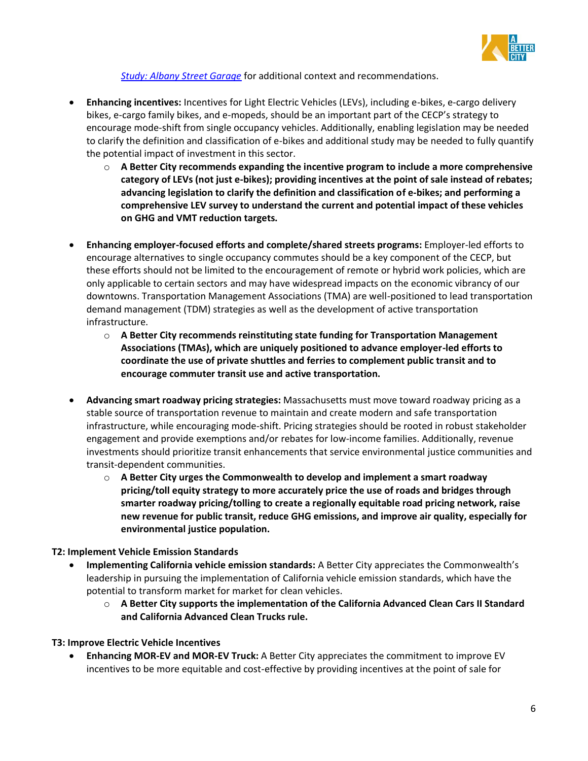

*[Study: Albany Street Garage](https://www.abettercity.org/assets/images/New%20MBTA%20Bus%20Maintenance%20Facilities%20&%20Evolving%20Battery%20Electric%20Bus%20Technology%20-%20Final%20Report%20August%202019.pdf)* for additional context and recommendations.

- **Enhancing incentives:** Incentives for Light Electric Vehicles (LEVs), including e-bikes, e-cargo delivery bikes, e-cargo family bikes, and e-mopeds, should be an important part of the CECP's strategy to encourage mode-shift from single occupancy vehicles. Additionally, enabling legislation may be needed to clarify the definition and classification of e-bikes and additional study may be needed to fully quantify the potential impact of investment in this sector.
	- o **A Better City recommends expanding the incentive program to include a more comprehensive category of LEVs (not just e-bikes); providing incentives at the point of sale instead of rebates; advancing legislation to clarify the definition and classification of e-bikes; and performing a comprehensive LEV survey to understand the current and potential impact of these vehicles on GHG and VMT reduction targets.**
- **Enhancing employer-focused efforts and complete/shared streets programs:** Employer-led efforts to encourage alternatives to single occupancy commutes should be a key component of the CECP, but these efforts should not be limited to the encouragement of remote or hybrid work policies, which are only applicable to certain sectors and may have widespread impacts on the economic vibrancy of our downtowns. Transportation Management Associations (TMA) are well-positioned to lead transportation demand management (TDM) strategies as well as the development of active transportation infrastructure.
	- o **A Better City recommends reinstituting state funding for Transportation Management Associations (TMAs), which are uniquely positioned to advance employer-led efforts to coordinate the use of private shuttles and ferries to complement public transit and to encourage commuter transit use and active transportation.**
- **Advancing smart roadway pricing strategies:** Massachusetts must move toward roadway pricing as a stable source of transportation revenue to maintain and create modern and safe transportation infrastructure, while encouraging mode-shift. Pricing strategies should be rooted in robust stakeholder engagement and provide exemptions and/or rebates for low-income families. Additionally, revenue investments should prioritize transit enhancements that service environmental justice communities and transit-dependent communities.
	- o **A Better City urges the Commonwealth to develop and implement a smart roadway pricing/toll equity strategy to more accurately price the use of roads and bridges through smarter roadway pricing/tolling to create a regionally equitable road pricing network, raise new revenue for public transit, reduce GHG emissions, and improve air quality, especially for environmental justice population.**

# **T2: Implement Vehicle Emission Standards**

- **Implementing California vehicle emission standards:** A Better City appreciates the Commonwealth's leadership in pursuing the implementation of California vehicle emission standards, which have the potential to transform market for market for clean vehicles.
	- o **A Better City supports the implementation of the California Advanced Clean Cars II Standard and California Advanced Clean Trucks rule.**

# **T3: Improve Electric Vehicle Incentives**

• **Enhancing MOR-EV and MOR-EV Truck:** A Better City appreciates the commitment to improve EV incentives to be more equitable and cost-effective by providing incentives at the point of sale for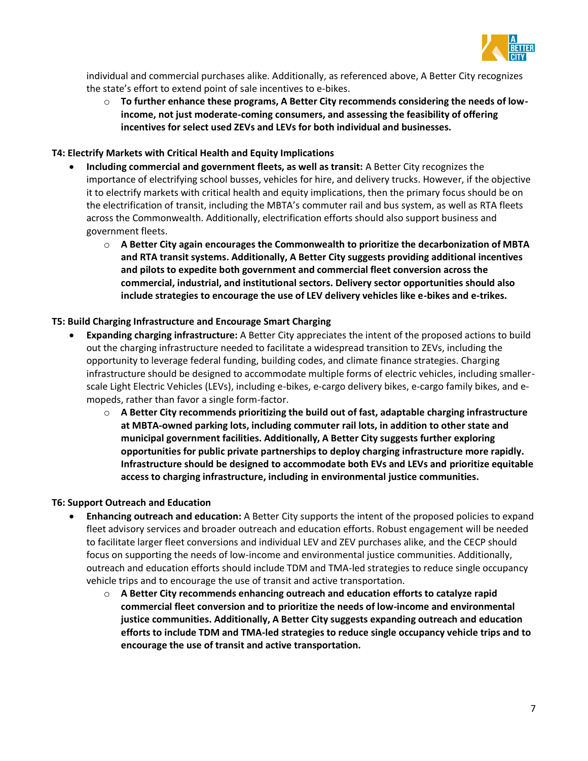

individual and commercial purchases alike. Additionally, as referenced above, A Better City recognizes the state's effort to extend point of sale incentives to e-bikes.

o **To further enhance these programs, A Better City recommends considering the needs of lowincome, not just moderate-coming consumers, and assessing the feasibility of offering incentives for select used ZEVs and LEVs for both individual and businesses.** 

# **T4: Electrify Markets with Critical Health and Equity Implications**

- **Including commercial and government fleets, as well as transit:** A Better City recognizes the importance of electrifying school busses, vehicles for hire, and delivery trucks. However, if the objective it to electrify markets with critical health and equity implications, then the primary focus should be on the electrification of transit, including the MBTA's commuter rail and bus system, as well as RTA fleets across the Commonwealth. Additionally, electrification efforts should also support business and government fleets.
	- o **A Better City again encourages the Commonwealth to prioritize the decarbonization of MBTA and RTA transit systems. Additionally, A Better City suggests providing additional incentives and pilots to expedite both government and commercial fleet conversion across the commercial, industrial, and institutional sectors. Delivery sector opportunities should also include strategies to encourage the use of LEV delivery vehicles like e-bikes and e-trikes.**

# **T5: Build Charging Infrastructure and Encourage Smart Charging**

- **Expanding charging infrastructure:** A Better City appreciates the intent of the proposed actions to build out the charging infrastructure needed to facilitate a widespread transition to ZEVs, including the opportunity to leverage federal funding, building codes, and climate finance strategies. Charging infrastructure should be designed to accommodate multiple forms of electric vehicles, including smallerscale Light Electric Vehicles (LEVs), including e-bikes, e-cargo delivery bikes, e-cargo family bikes, and emopeds, rather than favor a single form-factor.
	- o **A Better City recommends prioritizing the build out of fast, adaptable charging infrastructure at MBTA-owned parking lots, including commuter rail lots, in addition to other state and municipal government facilities. Additionally, A Better City suggests further exploring opportunities for public private partnerships to deploy charging infrastructure more rapidly. Infrastructure should be designed to accommodate both EVs and LEVs and prioritize equitable access to charging infrastructure, including in environmental justice communities.**

# **T6: Support Outreach and Education**

- **Enhancing outreach and education:** A Better City supports the intent of the proposed policies to expand fleet advisory services and broader outreach and education efforts. Robust engagement will be needed to facilitate larger fleet conversions and individual LEV and ZEV purchases alike, and the CECP should focus on supporting the needs of low-income and environmental justice communities. Additionally, outreach and education efforts should include TDM and TMA-led strategies to reduce single occupancy vehicle trips and to encourage the use of transit and active transportation.
	- o **A Better City recommends enhancing outreach and education efforts to catalyze rapid commercial fleet conversion and to prioritize the needs of low-income and environmental justice communities. Additionally, A Better City suggests expanding outreach and education efforts to include TDM and TMA-led strategies to reduce single occupancy vehicle trips and to encourage the use of transit and active transportation.**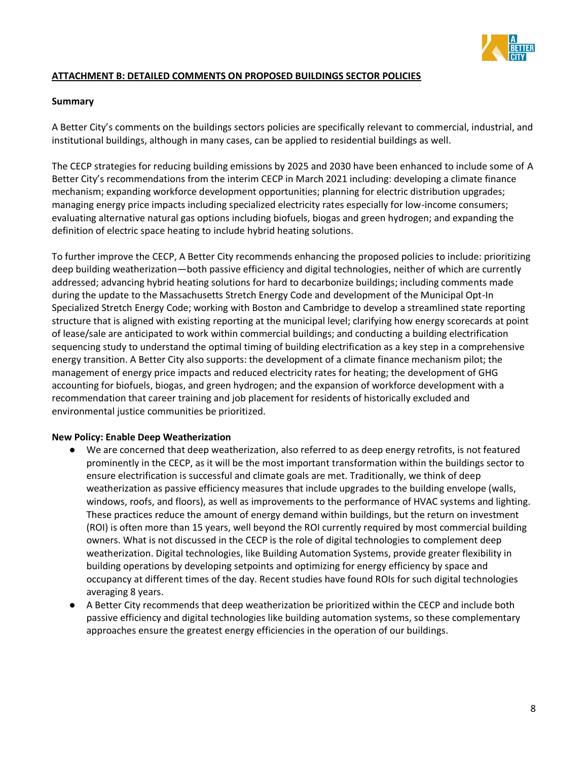

# **ATTACHMENT B: DETAILED COMMENTS ON PROPOSED BUILDINGS SECTOR POLICIES**

### **Summary**

A Better City's comments on the buildings sectors policies are specifically relevant to commercial, industrial, and institutional buildings, although in many cases, can be applied to residential buildings as well.

The CECP strategies for reducing building emissions by 2025 and 2030 have been enhanced to include some of A Better City's recommendations from the interim CECP in March 2021 including: developing a climate finance mechanism; expanding workforce development opportunities; planning for electric distribution upgrades; managing energy price impacts including specialized electricity rates especially for low-income consumers; evaluating alternative natural gas options including biofuels, biogas and green hydrogen; and expanding the definition of electric space heating to include hybrid heating solutions.

To further improve the CECP, A Better City recommends enhancing the proposed policies to include: prioritizing deep building weatherization—both passive efficiency and digital technologies, neither of which are currently addressed; advancing hybrid heating solutions for hard to decarbonize buildings; including comments made during the update to the Massachusetts Stretch Energy Code and development of the Municipal Opt-In Specialized Stretch Energy Code; working with Boston and Cambridge to develop a streamlined state reporting structure that is aligned with existing reporting at the municipal level; clarifying how energy scorecards at point of lease/sale are anticipated to work within commercial buildings; and conducting a building electrification sequencing study to understand the optimal timing of building electrification as a key step in a comprehensive energy transition. A Better City also supports: the development of a climate finance mechanism pilot; the management of energy price impacts and reduced electricity rates for heating; the development of GHG accounting for biofuels, biogas, and green hydrogen; and the expansion of workforce development with a recommendation that career training and job placement for residents of historically excluded and environmental justice communities be prioritized.

#### **New Policy: Enable Deep Weatherization**

- We are concerned that deep weatherization, also referred to as deep energy retrofits, is not featured prominently in the CECP, as it will be the most important transformation within the buildings sector to ensure electrification is successful and climate goals are met. Traditionally, we think of deep weatherization as passive efficiency measures that include upgrades to the building envelope (walls, windows, roofs, and floors), as well as improvements to the performance of HVAC systems and lighting. These practices reduce the amount of energy demand within buildings, but the return on investment (ROI) is often more than 15 years, well beyond the ROI currently required by most commercial building owners. What is not discussed in the CECP is the role of digital technologies to complement deep weatherization. Digital technologies, like Building Automation Systems, provide greater flexibility in building operations by developing setpoints and optimizing for energy efficiency by space and occupancy at different times of the day. Recent studies have found ROIs for such digital technologies averaging 8 years.
- A Better City recommends that deep weatherization be prioritized within the CECP and include both passive efficiency and digital technologies like building automation systems, so these complementary approaches ensure the greatest energy efficiencies in the operation of our buildings.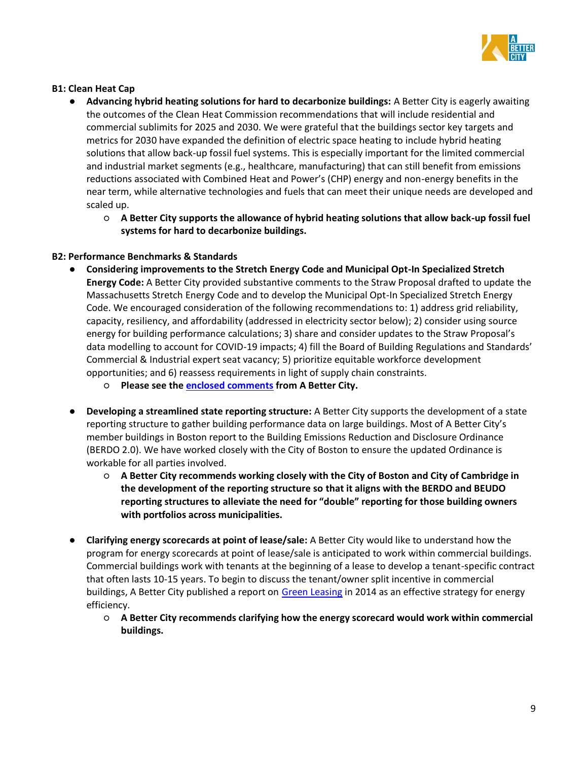

### **B1: Clean Heat Cap**

- **Advancing hybrid heating solutions for hard to decarbonize buildings:** A Better City is eagerly awaiting the outcomes of the Clean Heat Commission recommendations that will include residential and commercial sublimits for 2025 and 2030. We were grateful that the buildings sector key targets and metrics for 2030 have expanded the definition of electric space heating to include hybrid heating solutions that allow back-up fossil fuel systems. This is especially important for the limited commercial and industrial market segments (e.g., healthcare, manufacturing) that can still benefit from emissions reductions associated with Combined Heat and Power's (CHP) energy and non-energy benefits in the near term, while alternative technologies and fuels that can meet their unique needs are developed and scaled up.
	- **A Better City supports the allowance of hybrid heating solutions that allow back-up fossil fuel systems for hard to decarbonize buildings.**

### **B2: Performance Benchmarks & Standards**

- **Considering improvements to the Stretch Energy Code and Municipal Opt-In Specialized Stretch Energy Code:** A Better City provided substantive comments to the Straw Proposal drafted to update the Massachusetts Stretch Energy Code and to develop the Municipal Opt-In Specialized Stretch Energy Code. We encouraged consideration of the following recommendations to: 1) address grid reliability, capacity, resiliency, and affordability (addressed in electricity sector below); 2) consider using source energy for building performance calculations; 3) share and consider updates to the Straw Proposal's data modelling to account for COVID-19 impacts; 4) fill the Board of Building Regulations and Standards' Commercial & Industrial expert seat vacancy; 5) prioritize equitable workforce development opportunities; and 6) reassess requirements in light of supply chain constraints.
	- **Please see th[e enclosed comments](https://www.abettercity.org/assets/images/FINAL%20A%20Better%20City%20Comments%20on%20DOER%20Straw%20Proposal%2003.18.2022.pdf) from A Better City.**
- **Developing a streamlined state reporting structure:** A Better City supports the development of a state reporting structure to gather building performance data on large buildings. Most of A Better City's member buildings in Boston report to the Building Emissions Reduction and Disclosure Ordinance (BERDO 2.0). We have worked closely with the City of Boston to ensure the updated Ordinance is workable for all parties involved.
	- **A Better City recommends working closely with the City of Boston and City of Cambridge in the development of the reporting structure so that it aligns with the BERDO and BEUDO reporting structures to alleviate the need for "double" reporting for those building owners with portfolios across municipalities.**
- **Clarifying energy scorecards at point of lease/sale:** A Better City would like to understand how the program for energy scorecards at point of lease/sale is anticipated to work within commercial buildings. Commercial buildings work with tenants at the beginning of a lease to develop a tenant-specific contract that often lasts 10-15 years. To begin to discuss the tenant/owner split incentive in commercial buildings, A Better City published a report on [Green Leasing](https://www.abettercity.org/docs/abc-rpt%20green%20leasing%2012%2014.pdf) in 2014 as an effective strategy for energy efficiency.
	- **A Better City recommends clarifying how the energy scorecard would work within commercial buildings.**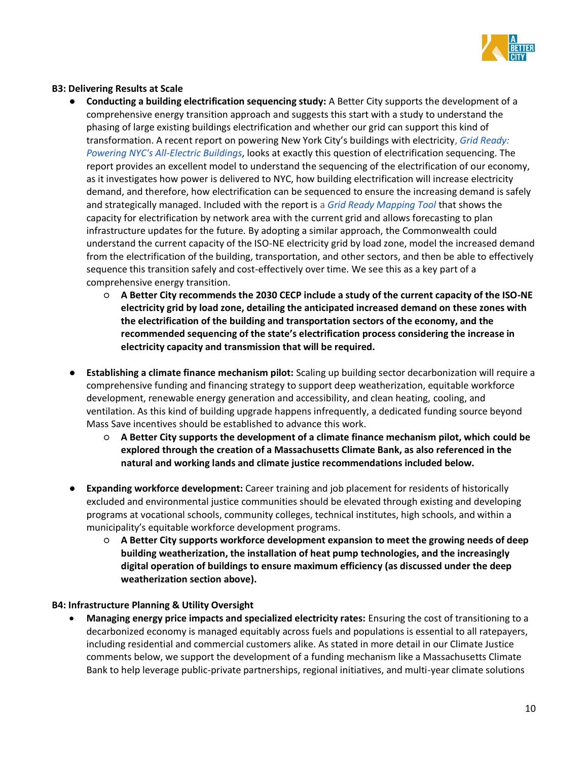

# **B3: Delivering Results at Scale**

- **Conducting a building electrification sequencing study:** A Better City supports the development of a comprehensive energy transition approach and suggests this start with a study to understand the phasing of large existing buildings electrification and whether our grid can support this kind of transformation. A recent report on powering New York City's buildings with electricity[,](https://www.urbangreencouncil.org/sites/default/files/2021.12.07_grid_ready.pdf) *[Grid Ready:](https://www.urbangreencouncil.org/sites/default/files/2021.12.07_grid_ready.pdf)  [Powering NYC's All-Electric Buildings](https://www.urbangreencouncil.org/sites/default/files/2021.12.07_grid_ready.pdf)*, looks at exactly this question of electrification sequencing. The report provides an excellent model to understand the sequencing of the electrification of our economy, as it investigates how power is delivered to NYC, how building electrification will increase electricity demand, and therefore, how electrification can be sequenced to ensure the increasing demand is safely and strategically managed. Included with the report is a *[Grid Ready Mapping Tool](https://maps.urbangreencouncil.org/?_ga=2.67318737.1511244983.1651075777-1765595152.1649097492)* that shows the capacity for electrification by network area with the current grid and allows forecasting to plan infrastructure updates for the future. By adopting a similar approach, the Commonwealth could understand the current capacity of the ISO-NE electricity grid by load zone, model the increased demand from the electrification of the building, transportation, and other sectors, and then be able to effectively sequence this transition safely and cost-effectively over time. We see this as a key part of a comprehensive energy transition.
	- **A Better City recommends the 2030 CECP include a study of the current capacity of the ISO-NE electricity grid by load zone, detailing the anticipated increased demand on these zones with the electrification of the building and transportation sectors of the economy, and the recommended sequencing of the state's electrification process considering the increase in electricity capacity and transmission that will be required.**
- **Establishing a climate finance mechanism pilot:** Scaling up building sector decarbonization will require a comprehensive funding and financing strategy to support deep weatherization, equitable workforce development, renewable energy generation and accessibility, and clean heating, cooling, and ventilation. As this kind of building upgrade happens infrequently, a dedicated funding source beyond Mass Save incentives should be established to advance this work.
	- **A Better City supports the development of a climate finance mechanism pilot, which could be explored through the creation of a Massachusetts Climate Bank, as also referenced in the natural and working lands and climate justice recommendations included below.**
- **Expanding workforce development:** Career training and job placement for residents of historically excluded and environmental justice communities should be elevated through existing and developing programs at vocational schools, community colleges, technical institutes, high schools, and within a municipality's equitable workforce development programs.
	- **A Better City supports workforce development expansion to meet the growing needs of deep building weatherization, the installation of heat pump technologies, and the increasingly digital operation of buildings to ensure maximum efficiency (as discussed under the deep weatherization section above).**

# **B4: Infrastructure Planning & Utility Oversight**

• **Managing energy price impacts and specialized electricity rates:** Ensuring the cost of transitioning to a decarbonized economy is managed equitably across fuels and populations is essential to all ratepayers, including residential and commercial customers alike. As stated in more detail in our Climate Justice comments below, we support the development of a funding mechanism like a Massachusetts Climate Bank to help leverage public-private partnerships, regional initiatives, and multi-year climate solutions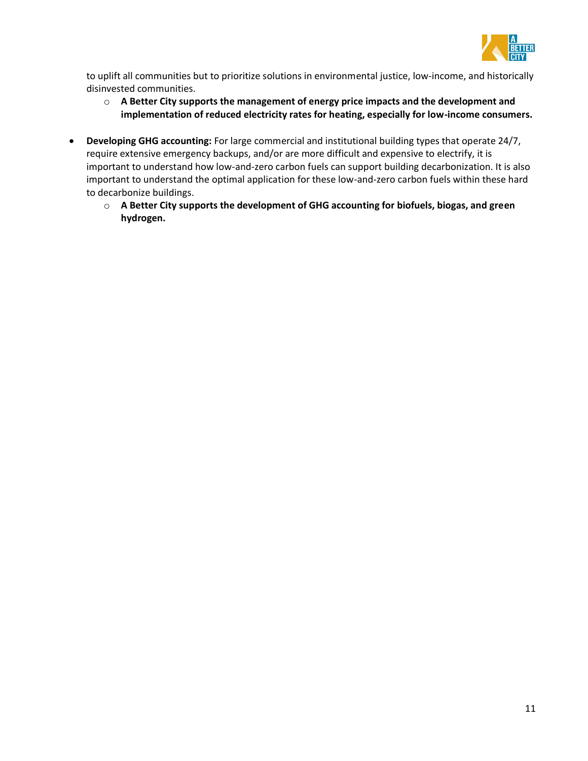

to uplift all communities but to prioritize solutions in environmental justice, low-income, and historically disinvested communities.

- o **A Better City supports the management of energy price impacts and the development and implementation of reduced electricity rates for heating, especially for low-income consumers.**
- **Developing GHG accounting:** For large commercial and institutional building types that operate 24/7, require extensive emergency backups, and/or are more difficult and expensive to electrify, it is important to understand how low-and-zero carbon fuels can support building decarbonization. It is also important to understand the optimal application for these low-and-zero carbon fuels within these hard to decarbonize buildings.
	- o **A Better City supports the development of GHG accounting for biofuels, biogas, and green hydrogen.**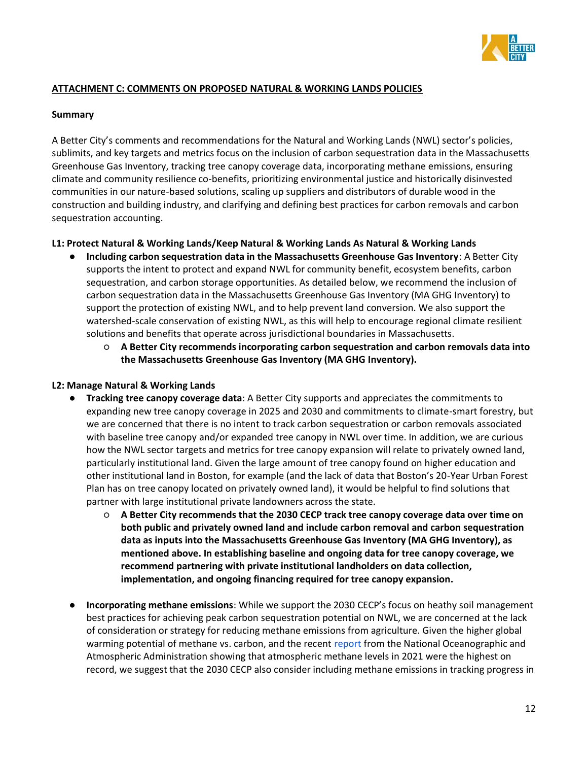

# **ATTACHMENT C: COMMENTS ON PROPOSED NATURAL & WORKING LANDS POLICIES**

### **Summary**

A Better City's comments and recommendations for the Natural and Working Lands (NWL) sector's policies, sublimits, and key targets and metrics focus on the inclusion of carbon sequestration data in the Massachusetts Greenhouse Gas Inventory, tracking tree canopy coverage data, incorporating methane emissions, ensuring climate and community resilience co-benefits, prioritizing environmental justice and historically disinvested communities in our nature-based solutions, scaling up suppliers and distributors of durable wood in the construction and building industry, and clarifying and defining best practices for carbon removals and carbon sequestration accounting.

# **L1: Protect Natural & Working Lands/Keep Natural & Working Lands As Natural & Working Lands**

- **Including carbon sequestration data in the Massachusetts Greenhouse Gas Inventory**: A Better City supports the intent to protect and expand NWL for community benefit, ecosystem benefits, carbon sequestration, and carbon storage opportunities. As detailed below, we recommend the inclusion of carbon sequestration data in the Massachusetts Greenhouse Gas Inventory (MA GHG Inventory) to support the protection of existing NWL, and to help prevent land conversion. We also support the watershed-scale conservation of existing NWL, as this will help to encourage regional climate resilient solutions and benefits that operate across jurisdictional boundaries in Massachusetts.
	- **A Better City recommends incorporating carbon sequestration and carbon removals data into the Massachusetts Greenhouse Gas Inventory (MA GHG Inventory).**

# **L2: Manage Natural & Working Lands**

- **Tracking tree canopy coverage data**: A Better City supports and appreciates the commitments to expanding new tree canopy coverage in 2025 and 2030 and commitments to climate-smart forestry, but we are concerned that there is no intent to track carbon sequestration or carbon removals associated with baseline tree canopy and/or expanded tree canopy in NWL over time. In addition, we are curious how the NWL sector targets and metrics for tree canopy expansion will relate to privately owned land, particularly institutional land. Given the large amount of tree canopy found on higher education and other institutional land in Boston, for example (and the lack of data that Boston's 20-Year Urban Forest Plan has on tree canopy located on privately owned land), it would be helpful to find solutions that partner with large institutional private landowners across the state.
	- **A Better City recommends that the 2030 CECP track tree canopy coverage data over time on both public and privately owned land and include carbon removal and carbon sequestration data as inputs into the Massachusetts Greenhouse Gas Inventory (MA GHG Inventory), as mentioned above. In establishing baseline and ongoing data for tree canopy coverage, we recommend partnering with private institutional landholders on data collection, implementation, and ongoing financing required for tree canopy expansion.**
- **Incorporating methane emissions**: While we support the 2030 CECP's focus on heathy soil management best practices for achieving peak carbon sequestration potential on NWL, we are concerned at the lack of consideration or strategy for reducing methane emissions from agriculture. Given the higher global warming potential of methane vs. carbon, and the recent [report](https://www.noaa.gov/news-release/increase-in-atmospheric-methane-set-another-record-during-2021) from the National Oceanographic and Atmospheric Administration showing that atmospheric methane levels in 2021 were the highest on record, we suggest that the 2030 CECP also consider including methane emissions in tracking progress in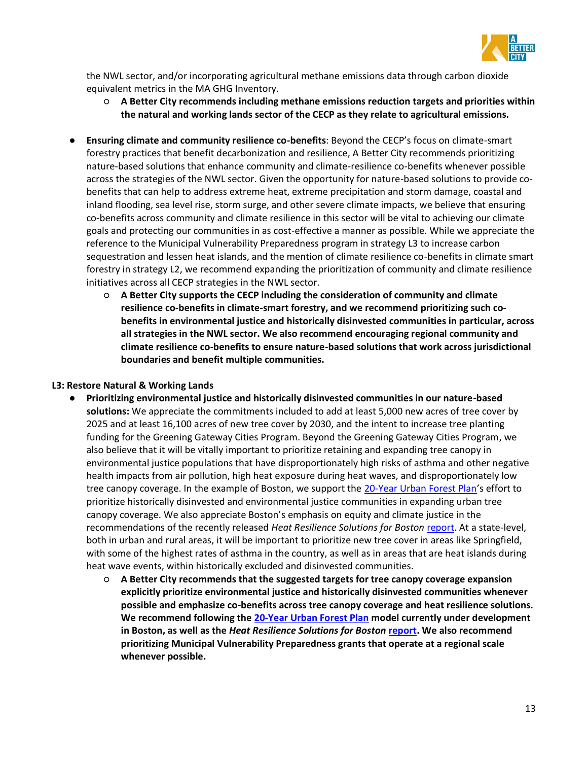

the NWL sector, and/or incorporating agricultural methane emissions data through carbon dioxide equivalent metrics in the MA GHG Inventory.

- **A Better City recommends including methane emissions reduction targets and priorities within the natural and working lands sector of the CECP as they relate to agricultural emissions.**
- **Ensuring climate and community resilience co-benefits**: Beyond the CECP's focus on climate-smart forestry practices that benefit decarbonization and resilience, A Better City recommends prioritizing nature-based solutions that enhance community and climate-resilience co-benefits whenever possible across the strategies of the NWL sector. Given the opportunity for nature-based solutions to provide cobenefits that can help to address extreme heat, extreme precipitation and storm damage, coastal and inland flooding, sea level rise, storm surge, and other severe climate impacts, we believe that ensuring co-benefits across community and climate resilience in this sector will be vital to achieving our climate goals and protecting our communities in as cost-effective a manner as possible. While we appreciate the reference to the Municipal Vulnerability Preparedness program in strategy L3 to increase carbon sequestration and lessen heat islands, and the mention of climate resilience co-benefits in climate smart forestry in strategy L2, we recommend expanding the prioritization of community and climate resilience initiatives across all CECP strategies in the NWL sector.
	- **A Better City supports the CECP including the consideration of community and climate resilience co-benefits in climate-smart forestry, and we recommend prioritizing such cobenefits in environmental justice and historically disinvested communities in particular, across all strategies in the NWL sector. We also recommend encouraging regional community and climate resilience co-benefits to ensure nature-based solutions that work across jurisdictional boundaries and benefit multiple communities.**

### **L3: Restore Natural & Working Lands**

- **Prioritizing environmental justice and historically disinvested communities in our nature-based solutions:** We appreciate the commitments included to add at least 5,000 new acres of tree cover by 2025 and at least 16,100 acres of new tree cover by 2030, and the intent to increase tree planting funding for the Greening Gateway Cities Program. Beyond the Greening Gateway Cities Program, we also believe that it will be vitally important to prioritize retaining and expanding tree canopy in environmental justice populations that have disproportionately high risks of asthma and other negative health impacts from air pollution, high heat exposure during heat waves, and disproportionately low tree canopy coverage. In the example of Boston, we support the [20-Year Urban Forest Plan](https://www.boston.gov/departments/parks-and-recreation/urban-forest-plan)'s effort to prioritize historically disinvested and environmental justice communities in expanding urban tree canopy coverage. We also appreciate Boston's emphasis on equity and climate justice in the recommendations of the recently released *Heat Resilience Solutions for Boston* [report.](https://www.boston.gov/departments/environment/preparing-heat#report) At a state-level, both in urban and rural areas, it will be important to prioritize new tree cover in areas like Springfield, with some of the highest rates of asthma in the country, as well as in areas that are heat islands during heat wave events, within historically excluded and disinvested communities.
	- **A Better City recommends that the suggested targets for tree canopy coverage expansion explicitly prioritize environmental justice and historically disinvested communities whenever possible and emphasize co-benefits across tree canopy coverage and heat resilience solutions. We recommend following th[e 20-Year Urban Forest Plan](https://www.boston.gov/departments/parks-and-recreation/urban-forest-plan) model currently under development in Boston, as well as the** *Heat Resilience Solutions for Boston* **[report.](https://www.boston.gov/departments/environment/preparing-heat#report) We also recommend prioritizing Municipal Vulnerability Preparedness grants that operate at a regional scale whenever possible.**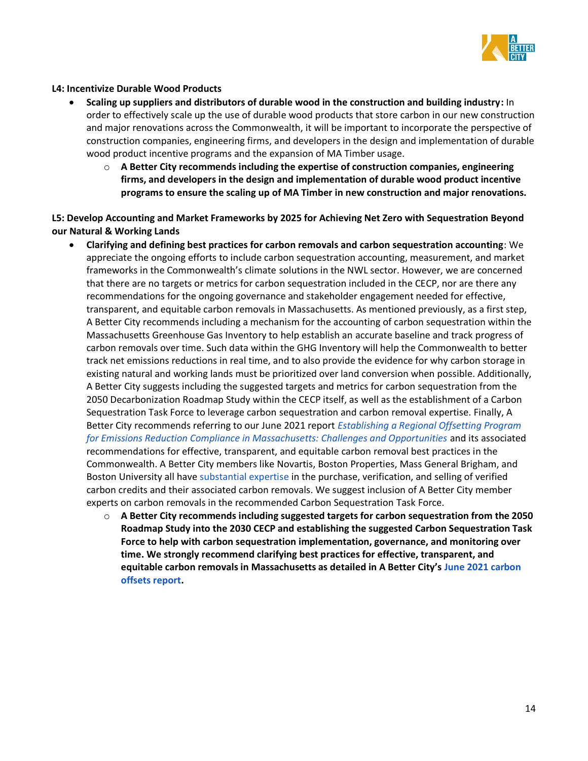

### **L4: Incentivize Durable Wood Products**

- **Scaling up suppliers and distributors of durable wood in the construction and building industry:** In order to effectively scale up the use of durable wood products that store carbon in our new construction and major renovations across the Commonwealth, it will be important to incorporate the perspective of construction companies, engineering firms, and developers in the design and implementation of durable wood product incentive programs and the expansion of MA Timber usage.
	- o **A Better City recommends including the expertise of construction companies, engineering firms, and developers in the design and implementation of durable wood product incentive programs to ensure the scaling up of MA Timber in new construction and major renovations.**

**L5: Develop Accounting and Market Frameworks by 2025 for Achieving Net Zero with Sequestration Beyond our Natural & Working Lands** 

- **Clarifying and defining best practices for carbon removals and carbon sequestration accounting**: We appreciate the ongoing efforts to include carbon sequestration accounting, measurement, and market frameworks in the Commonwealth's climate solutions in the NWL sector. However, we are concerned that there are no targets or metrics for carbon sequestration included in the CECP, nor are there any recommendations for the ongoing governance and stakeholder engagement needed for effective, transparent, and equitable carbon removals in Massachusetts. As mentioned previously, as a first step, A Better City recommends including a mechanism for the accounting of carbon sequestration within the Massachusetts Greenhouse Gas Inventory to help establish an accurate baseline and track progress of carbon removals over time. Such data within the GHG Inventory will help the Commonwealth to better track net emissions reductions in real time, and to also provide the evidence for why carbon storage in existing natural and working lands must be prioritized over land conversion when possible. Additionally, A Better City suggests including the suggested targets and metrics for carbon sequestration from the 2050 Decarbonization Roadmap Study within the CECP itself, as well as the establishment of a Carbon Sequestration Task Force to leverage carbon sequestration and carbon removal expertise. Finally, A Better City recommends referring to our June 2021 report *[Establishing a Regional Offsetting Program](https://www.abettercity.org/assets/images/Offsets%20Report%20Final%202021.pdf)  [for Emissions Reduction Compliance in Massachusetts: Challenges and Opportunities](https://www.abettercity.org/assets/images/Offsets%20Report%20Final%202021.pdf)* and its associated recommendations for effective, transparent, and equitable carbon removal best practices in the Commonwealth. A Better City members like Novartis, Boston Properties, Mass General Brigham, and Boston University all have [substantial expertise](https://www.abettercity.org/news-and-events/blog/event-recap-member-perspectives-on-carbon-offsets#:~:text=Event%20Summary%3A%20Member%20Perspectives%20on%20Carbon%20Offsets%20On,panel%20conversation%20exploring%20member%20perspectives%20on%20carbon%20offsetting.) in the purchase, verification, and selling of verified carbon credits and their associated carbon removals. We suggest inclusion of A Better City member experts on carbon removals in the recommended Carbon Sequestration Task Force.
	- o **A Better City recommends including suggested targets for carbon sequestration from the 2050 Roadmap Study into the 2030 CECP and establishing the suggested Carbon Sequestration Task Force to help with carbon sequestration implementation, governance, and monitoring over time. We strongly recommend clarifying best practices for effective, transparent, and equitable carbon removals in Massachusetts as detailed in A Better City's [June 2021 carbon](https://www.abettercity.org/assets/images/Offsets%20Report%20Final%202021.pdf)  [offsets report.](https://www.abettercity.org/assets/images/Offsets%20Report%20Final%202021.pdf)**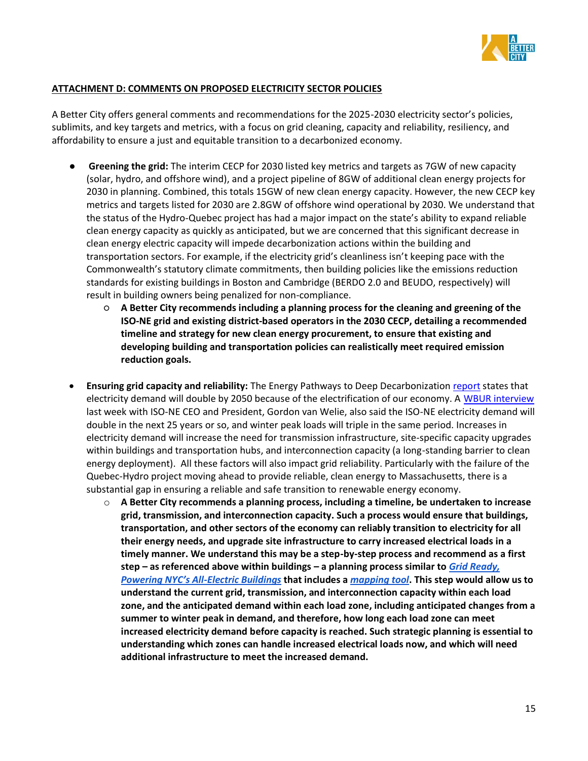

# **ATTACHMENT D: COMMENTS ON PROPOSED ELECTRICITY SECTOR POLICIES**

A Better City offers general comments and recommendations for the 2025-2030 electricity sector's policies, sublimits, and key targets and metrics, with a focus on grid cleaning, capacity and reliability, resiliency, and affordability to ensure a just and equitable transition to a decarbonized economy.

- **Greening the grid:** The interim CECP for 2030 listed key metrics and targets as 7GW of new capacity (solar, hydro, and offshore wind), and a project pipeline of 8GW of additional clean energy projects for 2030 in planning. Combined, this totals 15GW of new clean energy capacity. However, the new CECP key metrics and targets listed for 2030 are 2.8GW of offshore wind operational by 2030. We understand that the status of the Hydro-Quebec project has had a major impact on the state's ability to expand reliable clean energy capacity as quickly as anticipated, but we are concerned that this significant decrease in clean energy electric capacity will impede decarbonization actions within the building and transportation sectors. For example, if the electricity grid's cleanliness isn't keeping pace with the Commonwealth's statutory climate commitments, then building policies like the emissions reduction standards for existing buildings in Boston and Cambridge (BERDO 2.0 and BEUDO, respectively) will result in building owners being penalized for non-compliance.
	- **A Better City recommends including a planning process for the cleaning and greening of the ISO-NE grid and existing district-based operators in the 2030 CECP, detailing a recommended timeline and strategy for new clean energy procurement, to ensure that existing and developing building and transportation policies can realistically meet required emission reduction goals.**
- **Ensuring grid capacity and reliability:** The Energy Pathways to Deep Decarbonization [report](https://www.mass.gov/doc/energy-pathways-for-deep-decarbonization-report/download) states that electricity demand will double by 2050 because of the electrification of our economy. A [WBUR interview](https://www.wbur.org/radioboston/2022/04/20/green-renewable-energy-electrical-grid-carbon-neutral) last week with ISO-NE CEO and President, Gordon van Welie, also said the ISO-NE electricity demand will double in the next 25 years or so, and winter peak loads will triple in the same period. Increases in electricity demand will increase the need for transmission infrastructure, site-specific capacity upgrades within buildings and transportation hubs, and interconnection capacity (a long-standing barrier to clean energy deployment). All these factors will also impact grid reliability. Particularly with the failure of the Quebec-Hydro project moving ahead to provide reliable, clean energy to Massachusetts, there is a substantial gap in ensuring a reliable and safe transition to renewable energy economy.
	- o **A Better City recommends a planning process, including a timeline, be undertaken to increase grid, transmission, and interconnection capacity. Such a process would ensure that buildings, transportation, and other sectors of the economy can reliably transition to electricity for all their energy needs, and upgrade site infrastructure to carry increased electrical loads in a timely manner. We understand this may be a step-by-step process and recommend as a first step – as referenced above within buildings – a planning process similar to** *[Grid Ready,](https://www.urbangreencouncil.org/content/projects/grid-ready)  [Powering NYC's All](https://www.urbangreencouncil.org/content/projects/grid-ready)-Electric Buildings* **that includes [a](https://maps.urbangreencouncil.org/?_ga=2.122686731.1860846231.1650646291-1765595152.1649097492)** *[mapping tool](https://maps.urbangreencouncil.org/?_ga=2.122686731.1860846231.1650646291-1765595152.1649097492)***. This step would allow us to understand the current grid, transmission, and interconnection capacity within each load zone, and the anticipated demand within each load zone, including anticipated changes from a summer to winter peak in demand, and therefore, how long each load zone can meet increased electricity demand before capacity is reached. Such strategic planning is essential to understanding which zones can handle increased electrical loads now, and which will need additional infrastructure to meet the increased demand.**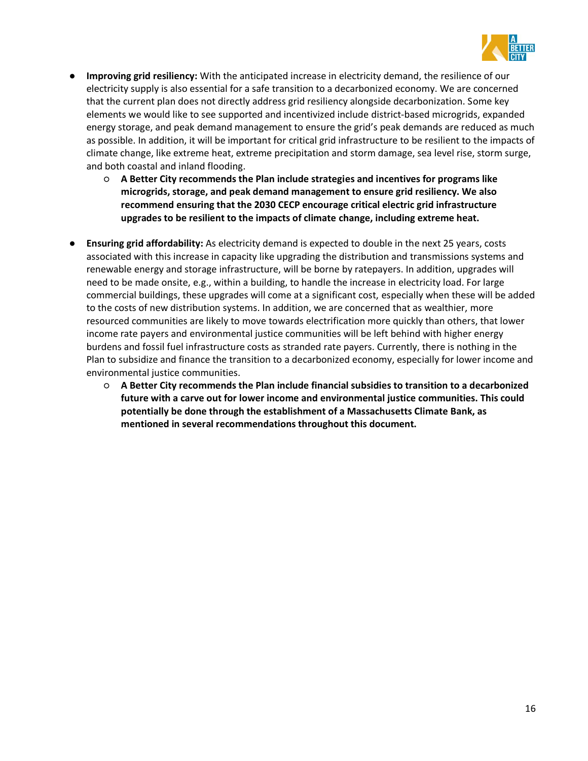

- **Improving grid resiliency:** With the anticipated increase in electricity demand, the resilience of our electricity supply is also essential for a safe transition to a decarbonized economy. We are concerned that the current plan does not directly address grid resiliency alongside decarbonization. Some key elements we would like to see supported and incentivized include district-based microgrids, expanded energy storage, and peak demand management to ensure the grid's peak demands are reduced as much as possible. In addition, it will be important for critical grid infrastructure to be resilient to the impacts of climate change, like extreme heat, extreme precipitation and storm damage, sea level rise, storm surge, and both coastal and inland flooding.
	- **A Better City recommends the Plan include strategies and incentives for programs like microgrids, storage, and peak demand management to ensure grid resiliency. We also recommend ensuring that the 2030 CECP encourage critical electric grid infrastructure upgrades to be resilient to the impacts of climate change, including extreme heat.**
- **Ensuring grid affordability:** As electricity demand is expected to double in the next 25 years, costs associated with this increase in capacity like upgrading the distribution and transmissions systems and renewable energy and storage infrastructure, will be borne by ratepayers. In addition, upgrades will need to be made onsite, e.g., within a building, to handle the increase in electricity load. For large commercial buildings, these upgrades will come at a significant cost, especially when these will be added to the costs of new distribution systems. In addition, we are concerned that as wealthier, more resourced communities are likely to move towards electrification more quickly than others, that lower income rate payers and environmental justice communities will be left behind with higher energy burdens and fossil fuel infrastructure costs as stranded rate payers. Currently, there is nothing in the Plan to subsidize and finance the transition to a decarbonized economy, especially for lower income and environmental justice communities.
	- **A Better City recommends the Plan include financial subsidies to transition to a decarbonized future with a carve out for lower income and environmental justice communities. This could potentially be done through the establishment of a Massachusetts Climate Bank, as mentioned in several recommendations throughout this document.**